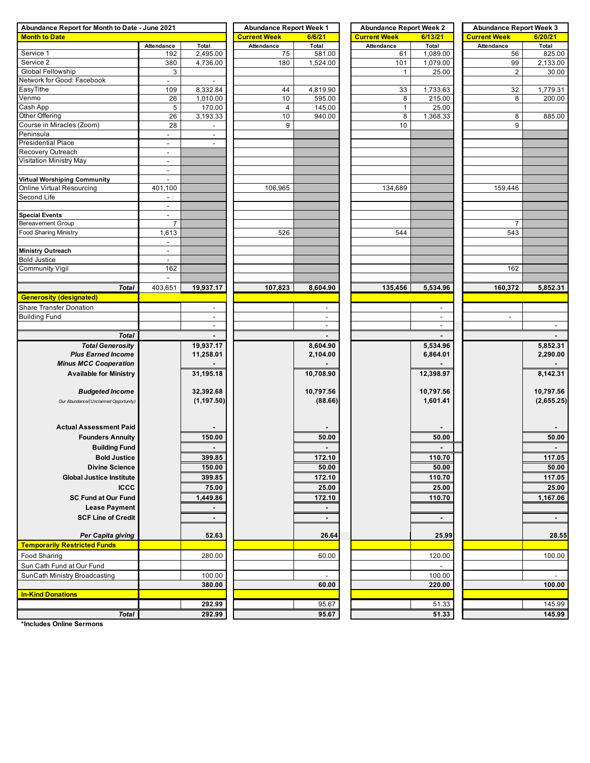| Abundance Report for Month to Date - June 2021            | <b>Abundance Report Week 1</b> |                          | <b>Abundance Report Week 2</b> |                  | <b>Abundance Report Week 3</b> |                          |                          |                |
|-----------------------------------------------------------|--------------------------------|--------------------------|--------------------------------|------------------|--------------------------------|--------------------------|--------------------------|----------------|
| <b>Month to Date</b>                                      |                                |                          | <b>Current Week</b>            | 6/6/21           | <b>Current Week</b>            | 6/13/21                  | <b>Current Week</b>      | 6/20/21        |
|                                                           | Attendance                     | Total                    | Attendance                     | Total            | Attendance                     | Total                    | Attendance               | Total          |
| Service 1                                                 | 192                            | 2,495.00                 | 75                             | 581.00           | 61                             | 1,089.00                 | 56                       | 825.00         |
| Service 2                                                 | 380                            | 4,736.00                 | 180                            | 1,524.00         | 101                            | 1,079.00                 | 99                       | 2,133.00       |
| Global Fellowship                                         | 3                              |                          |                                |                  | $\mathbf{1}$                   | 25.00                    | 2                        | 30.00          |
| Network for Good: Facebook                                | $\blacksquare$                 |                          |                                |                  |                                |                          |                          |                |
| EasyTithe                                                 | 109                            | 8,332.84                 | 44                             | 4,819.90         | 33                             | 1,733.63                 | 32                       | 1,779.31       |
| Venmo                                                     | 26                             | 1,010.00                 | 10                             | 595.00           | 8                              | 215.00                   | 8                        | 200.00         |
| Cash App<br>Other Offering                                | 5<br>26                        | 170.00<br>3,193.33       | $\overline{\mathbf{4}}$<br>10  | 145.00<br>940.00 | $\mathbf{1}$<br>8              | 25.00<br>1,368.33        | 8                        | 885.00         |
| Course in Miracles (Zoom)                                 | 28                             |                          | 9                              |                  | 10                             |                          | 9                        |                |
| Peninsula                                                 | $\blacksquare$                 | $\overline{\phantom{a}}$ |                                |                  |                                |                          |                          |                |
| <b>Presidential Place</b>                                 | $\overline{\phantom{a}}$       |                          |                                |                  |                                |                          |                          |                |
| Recovery Outreach                                         | $\sim$                         |                          |                                |                  |                                |                          |                          |                |
| Visitation Ministry May                                   | $\blacksquare$                 |                          |                                |                  |                                |                          |                          |                |
|                                                           | $\blacksquare$                 |                          |                                |                  |                                |                          |                          |                |
| Virtual Worshiping Community                              | $\blacksquare$                 |                          |                                |                  |                                |                          |                          |                |
| Online Virtual Resourcing                                 | 401,100                        |                          | 106,965                        |                  | 134,689                        |                          | 159,446                  |                |
| Second Life                                               | $\sim$                         |                          |                                |                  |                                |                          |                          |                |
|                                                           | $\blacksquare$                 |                          |                                |                  |                                |                          |                          |                |
| <b>Special Events</b>                                     | $\overline{\phantom{a}}$       |                          |                                |                  |                                |                          |                          |                |
| <b>Bereavement Group</b>                                  | $\overline{7}$                 |                          |                                |                  |                                |                          | $\overline{7}$           |                |
| <b>Food Sharing Ministry</b>                              | 1,613                          |                          | 526                            |                  | 544                            |                          | 543                      |                |
|                                                           | $\overline{\phantom{a}}$       |                          |                                |                  |                                |                          |                          |                |
| Ministry Outreach                                         | $\blacksquare$                 |                          |                                |                  |                                |                          |                          |                |
| <b>Bold Justice</b>                                       | $\blacksquare$                 |                          |                                |                  |                                |                          |                          |                |
| <b>Community Vigil</b>                                    | 162                            |                          |                                |                  |                                |                          | 162                      |                |
|                                                           | $\sim$                         |                          |                                |                  |                                |                          |                          |                |
| <b>Total</b>                                              | 403,651                        | 19,937.17                | 107,823                        | 8,604.90         | 135,456                        | 5,534.96                 | 160,372                  | 5,852.31       |
| <b>Generosity (designated)</b>                            |                                |                          |                                |                  |                                |                          |                          |                |
| <b>Share Transfer Donation</b>                            |                                | $\overline{\phantom{a}}$ |                                |                  |                                | $\overline{\phantom{a}}$ |                          |                |
| <b>Building Fund</b>                                      |                                | $\overline{\phantom{a}}$ |                                | $\blacksquare$   |                                | $\blacksquare$           | $\overline{\phantom{a}}$ |                |
|                                                           |                                | $\overline{\phantom{a}}$ |                                | $\blacksquare$   |                                | $\overline{\phantom{a}}$ |                          | $\blacksquare$ |
| <b>Total</b>                                              |                                |                          |                                |                  |                                |                          |                          |                |
|                                                           |                                |                          |                                |                  |                                |                          |                          |                |
| <b>Total Generosity</b>                                   |                                | 19,937.17                |                                | 8,604.90         |                                | 5,534.96                 |                          | 5,852.31       |
| <b>Plus Earned Income</b><br><b>Minus MCC Cooperation</b> |                                | 11,258.01                |                                | 2,104.00         |                                | 6,864.01                 |                          | 2,290.00       |
|                                                           |                                |                          |                                |                  |                                |                          |                          |                |
| <b>Available for Ministry</b>                             |                                | 31,195.18                |                                | 10,708.90        |                                | 12,398.97                |                          | 8,142.31       |
|                                                           |                                |                          |                                |                  |                                |                          |                          |                |
| <b>Budgeted Income</b>                                    |                                | 32,392.68                |                                | 10,797.56        |                                | 10,797.56                |                          | 10,797.56      |
| Our Abundance/(Unclaimed Opportunity)                     |                                | (1, 197.50)              |                                | (88.66)          |                                | 1,601.41                 |                          | (2,655.25)     |
|                                                           |                                |                          |                                |                  |                                |                          |                          |                |
| <b>Actual Assessment Paid</b>                             |                                |                          |                                |                  |                                |                          |                          |                |
|                                                           |                                |                          |                                |                  |                                |                          |                          |                |
| <b>Founders Annuity</b>                                   |                                | 150.00                   |                                | 50.00            |                                | 50.00                    |                          | 50.00          |
| <b>Building Fund</b>                                      |                                | $\blacksquare$           |                                | $\blacksquare$   |                                | $\blacksquare$           |                          | $\blacksquare$ |
| <b>Bold Justice</b>                                       |                                | 399.85                   |                                | 172.10           |                                | 110.70                   |                          | 117.05         |
| <b>Divine Science</b>                                     |                                | 150.00                   |                                | 50.00            |                                | 50.00                    |                          | 50.00          |
| <b>Global Justice Institute</b>                           |                                | 399.85                   |                                | 172.10           |                                | 110.70                   |                          | 117.05         |
| <b>ICCC</b>                                               |                                | 75.00                    |                                | 25.00            |                                | 25.00                    |                          | 25.00          |
| <b>SC Fund at Our Fund</b>                                |                                | 1,449.86                 |                                | 172.10           |                                | 110.70                   |                          | 1,167.06       |
| <b>Lease Payment</b>                                      |                                | $\blacksquare$           |                                |                  |                                |                          |                          |                |
| <b>SCF Line of Credit</b>                                 |                                | $\blacksquare$           |                                | $\blacksquare$   |                                | $\blacksquare$           |                          |                |
|                                                           |                                |                          |                                |                  |                                |                          |                          |                |
| Per Capita giving                                         |                                | 52.63                    |                                | 26.64            |                                | 25.99                    |                          | 28.55          |
| <b>Temporarily Restricted Funds</b>                       |                                |                          |                                |                  |                                |                          |                          |                |
|                                                           |                                |                          |                                |                  |                                |                          |                          |                |
| <b>Food Sharing</b>                                       |                                | 280.00                   |                                | 60.00            |                                | 120.00                   |                          | 100.00         |
| Sun Cath Fund at Our Fund                                 |                                |                          |                                |                  |                                | $\overline{\phantom{a}}$ |                          |                |
| SunCath Ministry Broadcasting                             |                                | 100.00                   |                                | ä,               |                                | 100.00                   |                          |                |
|                                                           |                                | 380.00                   |                                | 60.00            |                                | 220.00                   |                          | 100.00         |
| <b>In-Kind Donations</b>                                  |                                |                          |                                |                  |                                |                          |                          |                |
|                                                           |                                | 292.99                   |                                | 95.67            |                                | 51.33                    |                          | 145.99         |
| <b>Total</b>                                              |                                | 292.99                   |                                | 95.67            |                                | 51.33                    |                          | 145.99         |

**\*Includes Online Sermons**